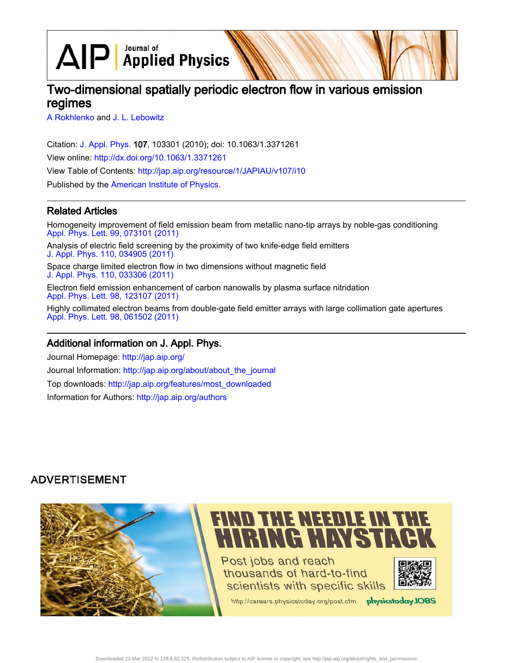$\text{AlP}$  Applied Physics

# Two-dimensional spatially periodic electron flow in various emission regimes

[A Rokhlenko](http://jap.aip.org/search?sortby=newestdate&q=&searchzone=2&searchtype=searchin&faceted=faceted&key=AIP_ALL&possible1=A Rokhlenko&possible1zone=author&alias=&displayid=AIP&ver=pdfcov) and [J. L. Lebowitz](http://jap.aip.org/search?sortby=newestdate&q=&searchzone=2&searchtype=searchin&faceted=faceted&key=AIP_ALL&possible1=J. L. Lebowitz&possible1zone=author&alias=&displayid=AIP&ver=pdfcov)

Citation: [J. Appl. Phys.](http://jap.aip.org/?ver=pdfcov) 107, 103301 (2010); doi: 10.1063/1.3371261 View online: [http://dx.doi.org/10.1063/1.3371261](http://link.aip.org/link/doi/10.1063/1.3371261?ver=pdfcov) View Table of Contents: [http://jap.aip.org/resource/1/JAPIAU/v107/i10](http://jap.aip.org/resource/1/JAPIAU/v107/i10?ver=pdfcov) Published by the [American Institute of Physics.](http://www.aip.org/?ver=pdfcov)

## Related Articles

Homogeneity improvement of field emission beam from metallic nano-tip arrays by noble-gas conditioning [Appl. Phys. Lett. 99, 073101 \(2011\)](http://link.aip.org/link/doi/10.1063/1.3624705?ver=pdfcov)

Analysis of electric field screening by the proximity of two knife-edge field emitters [J. Appl. Phys. 110, 034905 \(2011\)](http://link.aip.org/link/doi/10.1063/1.3615846?ver=pdfcov)

Space charge limited electron flow in two dimensions without magnetic field [J. Appl. Phys. 110, 033306 \(2011\)](http://link.aip.org/link/doi/10.1063/1.3622152?ver=pdfcov)

Electron field emission enhancement of carbon nanowalls by plasma surface nitridation [Appl. Phys. Lett. 98, 123107 \(2011\)](http://link.aip.org/link/doi/10.1063/1.3532114?ver=pdfcov)

Highly collimated electron beams from double-gate field emitter arrays with large collimation gate apertures [Appl. Phys. Lett. 98, 061502 \(2011\)](http://link.aip.org/link/doi/10.1063/1.3551541?ver=pdfcov)

## Additional information on J. Appl. Phys.

Journal Homepage: [http://jap.aip.org/](http://jap.aip.org/?ver=pdfcov) Journal Information: [http://jap.aip.org/about/about\\_the\\_journal](http://jap.aip.org/about/about_the_journal?ver=pdfcov) Top downloads: [http://jap.aip.org/features/most\\_downloaded](http://jap.aip.org/features/most_downloaded?ver=pdfcov) Information for Authors: [http://jap.aip.org/authors](http://jap.aip.org/authors?ver=pdfcov)

## **ADVERTISEMENT**

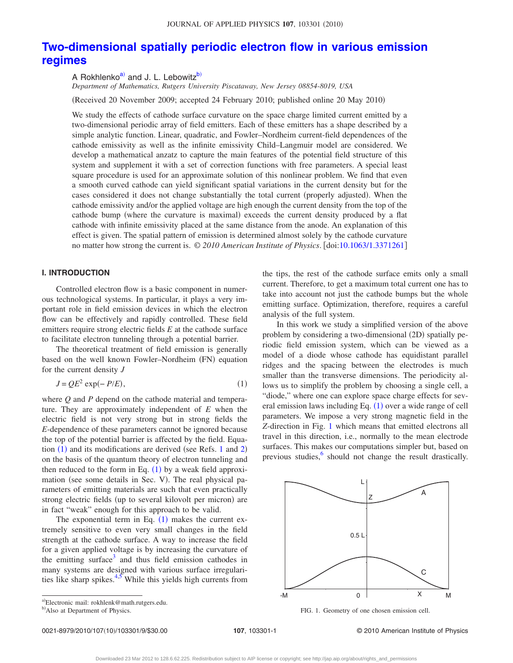## **[Two-dimensional spatially periodic electron flow in various emission](http://dx.doi.org/10.1063/1.3371261) [regimes](http://dx.doi.org/10.1063/1.3371261)**

A Rokhlenko<sup>a)</sup> and J. L. Lebowitz<sup>b)</sup>

*Department of Mathematics, Rutgers University Piscataway, New Jersey 08854-8019, USA*

(Received 20 November 2009; accepted 24 February 2010; published online 20 May 2010)

We study the effects of cathode surface curvature on the space charge limited current emitted by a two-dimensional periodic array of field emitters. Each of these emitters has a shape described by a simple analytic function. Linear, quadratic, and Fowler–Nordheim current-field dependences of the cathode emissivity as well as the infinite emissivity Child–Langmuir model are considered. We develop a mathematical anzatz to capture the main features of the potential field structure of this system and supplement it with a set of correction functions with free parameters. A special least square procedure is used for an approximate solution of this nonlinear problem. We find that even a smooth curved cathode can yield significant spatial variations in the current density but for the cases considered it does not change substantially the total current (properly adjusted). When the cathode emissivity and/or the applied voltage are high enough the current density from the top of the cathode bump (where the curvature is maximal) exceeds the current density produced by a flat cathode with infinite emissivity placed at the same distance from the anode. An explanation of this effect is given. The spatial pattern of emission is determined almost solely by the cathode curvature no matter how strong the current is. © 2010 American Institute of Physics. [doi[:10.1063/1.3371261](http://dx.doi.org/10.1063/1.3371261)]

#### **I. INTRODUCTION**

Controlled electron flow is a basic component in numerous technological systems. In particular, it plays a very important role in field emission devices in which the electron flow can be effectively and rapidly controlled. These field emitters require strong electric fields *E* at the cathode surface to facilitate electron tunneling through a potential barrier.

The theoretical treatment of field emission is generally based on the well known Fowler-Nordheim (FN) equation for the current density *J*

$$
J = QE^2 \exp(-P/E), \tag{1}
$$

<span id="page-1-0"></span>where *Q* and *P* depend on the cathode material and temperature. They are approximately independent of *E* when the electric field is not very strong but in strong fields the *E*-dependence of these parameters cannot be ignored because the top of the potential barrier is affected by the field. Equation  $(1)$  $(1)$  $(1)$  and its modifications are derived (see Refs. 1 and [2](#page-9-1)) on the basis of the quantum theory of electron tunneling and then reduced to the form in Eq.  $(1)$  $(1)$  $(1)$  by a weak field approximation (see some details in Sec. V). The real physical parameters of emitting materials are such that even practically strong electric fields (up to several kilovolt per micron) are in fact "weak" enough for this approach to be valid.

The exponential term in Eq.  $(1)$  $(1)$  $(1)$  makes the current extremely sensitive to even very small changes in the field strength at the cathode surface. A way to increase the field for a given applied voltage is by increasing the curvature of the emitting surface<sup>3</sup> and thus field emission cathodes in many systems are designed with various surface irregularities like sharp spikes. $4.5$  $4.5$  While this yields high currents from

a)Electronic mail: rokhlenk@math.rutgers.edu.

the tips, the rest of the cathode surface emits only a small current. Therefore, to get a maximum total current one has to take into account not just the cathode bumps but the whole emitting surface. Optimization, therefore, requires a careful analysis of the full system.

In this work we study a simplified version of the above problem by considering a two-dimensional (2D) spatially periodic field emission system, which can be viewed as a model of a diode whose cathode has equidistant parallel ridges and the spacing between the electrodes is much smaller than the transverse dimensions. The periodicity allows us to simplify the problem by choosing a single cell, a "diode," where one can explore space charge effects for several emission laws including Eq.  $(1)$  $(1)$  $(1)$  over a wide range of cell parameters. We impose a very strong magnetic field in the *Z*-direction in Fig. [1](#page-1-1) which means that emitted electrons all travel in this direction, i.e., normally to the mean electrode surfaces. This makes our computations simpler but, based on previous studies, $6 \text{ should not change the result drastically.}$ 

<span id="page-1-1"></span>

FIG. 1. Geometry of one chosen emission cell.

0021-8979/2010/107(10)/103301/9/\$30.00

107, 103301-1 © 2010 American Institute of Physics

<sup>&</sup>lt;sup>b)</sup>Also at Department of Physics.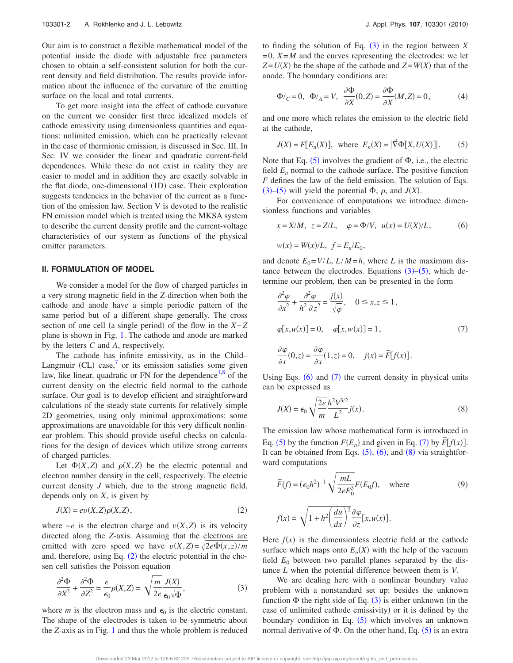Our aim is to construct a flexible mathematical model of the potential inside the diode with adjustable free parameters chosen to obtain a self-consistent solution for both the current density and field distribution. The results provide information about the influence of the curvature of the emitting surface on the local and total currents.

To get more insight into the effect of cathode curvature on the current we consider first three idealized models of cathode emissivity using dimensionless quantities and equations: unlimited emission, which can be practically relevant in the case of thermionic emission, is discussed in Sec. III. In Sec. IV we consider the linear and quadratic current-field dependences. While these do not exist in reality they are easier to model and in addition they are exactly solvable in the flat diode, one-dimensional (1D) case. Their exploration suggests tendencies in the behavior of the current as a function of the emission law. Section V is devoted to the realistic FN emission model which is treated using the MKSA system to describe the current density profile and the current-voltage characteristics of our system as functions of the physical emitter parameters.

#### **II. FORMULATION OF MODEL**

We consider a model for the flow of charged particles in a very strong magnetic field in the *Z*-direction when both the cathode and anode have a simple periodic pattern of the same period but of a different shape generally. The cross section of one cell (a single period) of the flow in the *X*−*Z* plane is shown in Fig. [1.](#page-1-1) The cathode and anode are marked by the letters *C* and *A*, respectively.

The cathode has infinite emissivity, as in the Child– Langmuir (CL) case, $^7$  $^7$  or its emission satisfies some given law, like linear, quadratic or FN for the dependence<sup>[1,](#page-9-0)[8](#page-9-7)</sup> of the current density on the electric field normal to the cathode surface. Our goal is to develop efficient and straightforward calculations of the steady state currents for relatively simple 2D geometries, using only minimal approximations: some approximations are unavoidable for this very difficult nonlinear problem. This should provide useful checks on calculations for the design of devices which utilize strong currents of charged particles.

Let  $\Phi(X, Z)$  and  $\rho(X, Z)$  be the electric potential and electron number density in the cell, respectively. The electric current density *J* which, due to the strong magnetic field, depends only on *X*, is given by

$$
J(X) = ev(X, Z)\rho(X, Z),\tag{2}
$$

<span id="page-2-0"></span>where  $-e$  is the electron charge and  $v(X, Z)$  is its velocity directed along the *Z*-axis. Assuming that the electrons are emitted with zero speed we have  $v(X,Z) = \sqrt{2e\Phi(x,z)/m}$ and, therefore, using Eq.  $(2)$  $(2)$  $(2)$  the electric potential in the chosen cell satisfies the Poisson equation

<span id="page-2-1"></span>
$$
\frac{\partial^2 \Phi}{\partial X^2} + \frac{\partial^2 \Phi}{\partial Z^2} = \frac{e}{\epsilon_0} \rho(X, Z) = \sqrt{\frac{m}{2e}} \frac{J(X)}{\epsilon_0 \sqrt{\Phi}},
$$
(3)

where *m* is the electron mass and  $\epsilon_0$  is the electric constant. The shape of the electrodes is taken to be symmetric about the *Z*-axis as in Fig. [1](#page-1-1) and thus the whole problem is reduced

to finding the solution of Eq.  $(3)$  $(3)$  $(3)$  in the region between *X*  $=0$ ,  $X=M$  and the curves representing the electrodes: we let  $Z = U(X)$  be the shape of the cathode and  $Z = W(X)$  that of the anode. The boundary conditions are:

<span id="page-2-6"></span>
$$
\Phi/_C = 0, \quad \Phi/_A = V, \quad \frac{\partial \Phi}{\partial X}(0, Z) = \frac{\partial \Phi}{\partial X}(M, Z) = 0,\tag{4}
$$

<span id="page-2-2"></span>and one more which relates the emission to the electric field at the cathode,

$$
J(X) = F[E_n(X)],
$$
 where  $E_n(X) = |\vec{\nabla}\Phi[X, U(X)]|.$  (5)

Note that Eq.  $(5)$  $(5)$  $(5)$  involves the gradient of  $\Phi$ , i.e., the electric field  $E_n$  normal to the cathode surface. The positive function *F* defines the law of the field emission. The solution of Eqs.  $(3)$  $(3)$  $(3)$ – $(5)$  $(5)$  $(5)$  will yield the potential  $\Phi$ ,  $\rho$ , and  $J(X)$ .

For convenience of computations we introduce dimensionless functions and variables

<span id="page-2-3"></span>
$$
x = X/M
$$
,  $z = Z/L$ ,  $\varphi = \Phi/V$ ,  $u(x) = U(X)/L$ , (6)

$$
w(x) = W(x)/L, \ f = E_n/E_0,
$$

and denote  $E_0 = V/L$ ,  $L/M = h$ , where *L* is the maximum distance between the electrodes. Equations  $(3)$  $(3)$  $(3)$ – $(5)$  $(5)$  $(5)$ , which determine our problem, then can be presented in the form

<span id="page-2-4"></span>
$$
\frac{\partial^2 \varphi}{\partial x^2} + \frac{\partial^2 \varphi}{h^2 \partial z^2} = \frac{j(x)}{\sqrt{\varphi}}, \quad 0 \le x, z \le 1,
$$
  

$$
\varphi[x, u(x)] = 0, \quad \varphi[x, w(x)] = 1,
$$
 (7)

$$
\frac{\partial \varphi}{\partial x}(0, z) = \frac{\partial \varphi}{\partial x}(1, z) = 0, \quad j(x) = \widetilde{F}[f(x)].
$$

Using Eqs.  $(6)$  $(6)$  $(6)$  and  $(7)$  $(7)$  $(7)$  the current density in physical units can be expressed as

<span id="page-2-5"></span>
$$
J(X) = \epsilon_0 \sqrt{\frac{2e}{m}} \frac{h^2 V^{3/2}}{L^2} j(x).
$$
 (8)

The emission law whose mathematical form is introduced in Eq. ([5](#page-2-2)) by the function  $F(E_n)$  and given in Eq. ([7](#page-2-4)) by  $\tilde{F}[f(x)]$ . It can be obtained from Eqs.  $(5)$  $(5)$  $(5)$ ,  $(6)$  $(6)$  $(6)$ , and  $(8)$  $(8)$  $(8)$  via straightforward computations

<span id="page-2-7"></span>
$$
\widetilde{F}(f) = (\epsilon_0 h^2)^{-1} \sqrt{\frac{mL}{2eE_0^3}} F(E_0 f), \quad \text{where}
$$
\n(9)

$$
f(x) = \sqrt{1 + h^2 \left(\frac{du}{dx}\right)^2} \frac{\partial \varphi}{\partial z} [x, u(x)].
$$

Here  $f(x)$  is the dimensionless electric field at the cathode surface which maps onto  $E_n(X)$  with the help of the vacuum field  $E_0$  between two parallel planes separated by the distance *L* when the potential difference between them is *V*.

We are dealing here with a nonlinear boundary value problem with a nonstandard set up: besides the unknown function  $\Phi$  the right side of Eq. ([3](#page-2-1)) is either unknown (in the case of unlimited cathode emissivity) or it is defined by the boundary condition in Eq.  $(5)$  $(5)$  $(5)$  which involves an unknown normal derivative of  $\Phi$ . On the other hand, Eq. ([5](#page-2-2)) is an extra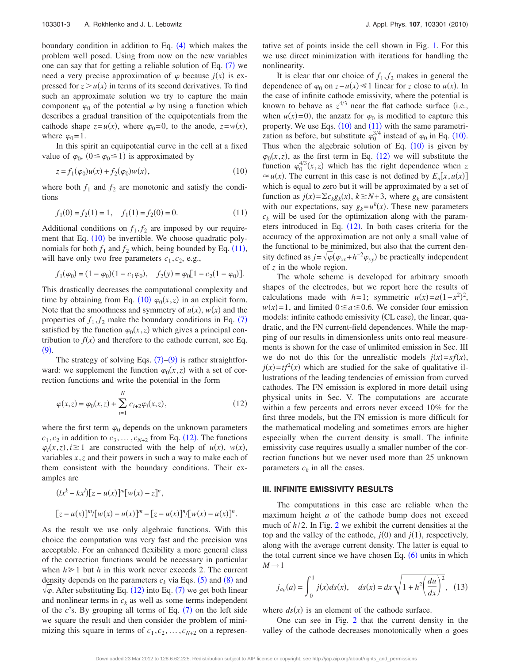boundary condition in addition to Eq.  $(4)$  $(4)$  $(4)$  which makes the problem well posed. Using from now on the new variables one can say that for getting a reliable solution of Eq.  $(7)$  $(7)$  $(7)$  we need a very precise approximation of  $\varphi$  because  $j(x)$  is expressed for  $z > u(x)$  in terms of its second derivatives. To find such an approximate solution we try to capture the main component  $\varphi_0$  of the potential  $\varphi$  by using a function which describes a gradual transition of the equipotentials from the cathode shape  $z = u(x)$ , where  $\varphi_0 = 0$ , to the anode,  $z = w(x)$ , where  $\varphi_0=1$ .

In this spirit an equipotential curve in the cell at a fixed value of  $\varphi_0$ ,  $(0 \le \varphi_0 \le 1)$  is approximated by

$$
z = f_1(\varphi_0)u(x) + f_2(\varphi_0)w(x),
$$
\n(10)

<span id="page-3-0"></span>where both  $f_1$  and  $f_2$  are monotonic and satisfy the conditions

<span id="page-3-1"></span>
$$
f_1(0) = f_2(1) = 1, \quad f_1(1) = f_2(0) = 0.
$$
 (11)

Additional conditions on  $f_1, f_2$  are imposed by our require-ment that Eq. ([10](#page-3-0)) be invertible. We choose quadratic polynomials for both  $f_1$  and  $f_2$  which, being bounded by Eq. ([11](#page-3-1)), will have only two free parameters  $c_1$ ,  $c_2$ , e.g.,

$$
f_1(\varphi_0) = (1 - \varphi_0)(1 - c_1\varphi_0), \quad f_2(y) = \varphi_0[1 - c_2(1 - \varphi_0)].
$$

This drastically decreases the computational complexity and time by obtaining from Eq. ([10](#page-3-0))  $\varphi_0(x, z)$  in an explicit form. Note that the smoothness and symmetry of  $u(x)$ ,  $w(x)$  and the properties of  $f_1, f_2$  make the boundary conditions in Eq. ([7](#page-2-4)) satisfied by the function  $\varphi_0(x, z)$  which gives a principal contribution to  $f(x)$  and therefore to the cathode current, see Eq.  $(9)$  $(9)$  $(9)$ .

The strategy of solving Eqs.  $(7)-(9)$  $(7)-(9)$  $(7)-(9)$  $(7)-(9)$  $(7)-(9)$  is rather straightforward: we supplement the function  $\varphi_0(x, z)$  with a set of correction functions and write the potential in the form

<span id="page-3-2"></span>
$$
\varphi(x,z) = \varphi_0(x,z) + \sum_{i=1}^{N} c_{i+2} \varphi_i(x,z), \qquad (12)
$$

where the first term  $\varphi_0$  depends on the unknown parameters  $c_1, c_2$  in addition to  $c_3, \ldots, c_{N+2}$  from Eq. ([12](#page-3-2)). The functions  $\varphi_i(x, z), i \ge 1$  are constructed with the help of *u*(*x*), *w*(*x*), variables *x*,*z* and their powers in such a way to make each of them consistent with the boundary conditions. Their examples are

$$
(lx^{k} - kx^{l})[z - u(x)]^{m}[w(x) - z]^{n},
$$
  

$$
[z - u(x)]^{m}/[w(x) - u(x)]^{m} - [z - u(x)]^{n}/[w(x) - u(x)]^{n}.
$$

As the result we use only algebraic functions. With this choice the computation was very fast and the precision was acceptable. For an enhanced flexibility a more general class of the correction functions would be necessary in particular when  $h \geq 1$  but *h* in this work never exceeds 2. The current density depends on the parameters  $c_k$  via Eqs. ([5](#page-2-2)) and ([8](#page-2-5)) and Lemmy depends on the parameters  $\epsilon_k$  and  $\epsilon_k$ . (b) and (c) and  $\sqrt{\varphi}$ . After substituting Eq. ([12](#page-3-2)) into Eq. ([7](#page-2-4)) we get both linear and nonlinear terms in  $c_k$  as well as some terms independent of the  $c$ 's. By grouping all terms of Eq.  $(7)$  $(7)$  $(7)$  on the left side we square the result and then consider the problem of minimizing this square in terms of  $c_1, c_2, \ldots, c_{N+2}$  on a representative set of points inside the cell shown in Fig. [1.](#page-1-1) For this we use direct minimization with iterations for handling the nonlinearity.

It is clear that our choice of  $f_1, f_2$  makes in general the dependence of  $\varphi_0$  on  $z - u(x) \le 1$  linear for *z* close to  $u(x)$ . In the case of infinite cathode emissivity, where the potential is known to behave as  $z^{4/3}$  near the flat cathode surface (i.e., when  $u(x)=0$ , the anzatz for  $\varphi_0$  is modified to capture this property. We use Eqs.  $(10)$  $(10)$  $(10)$  and  $(11)$  $(11)$  $(11)$  with the same parametrization as before, but substitute  $\varphi_0^{3/4}$  instead of  $\varphi_0$  in Eq. ([10](#page-3-0)). Thus when the algebraic solution of Eq.  $(10)$  $(10)$  $(10)$  is given by  $\varphi_0(x, z)$ , as the first term in Eq. ([12](#page-3-2)) we will substitute the function  $\varphi_0^{4/3}(x, z)$  which has the right dependence when *z*  $\approx u(x)$ . The current in this case is not defined by  $E_n[x, u(x)]$ which is equal to zero but it will be approximated by a set of function as  $j(x) = \sum c_k g_k(x)$ ,  $k \ge N+3$ , where  $g_k$  are consistent with our expectations, say  $g_k = u^k(x)$ . These new parameters  $c_k$  will be used for the optimization along with the parameters introduced in Eq.  $(12)$  $(12)$  $(12)$ . In both cases criteria for the accuracy of the approximation are not only a small value of the functional to be minimized, but also that the current density defined as  $j=\sqrt{\varphi}(\varphi_{xx}+h^{-2}\varphi_{yy})$  be practically independent of *z* in the whole region.

The whole scheme is developed for arbitrary smooth shapes of the electrodes, but we report here the results of calculations made with *h*=1; symmetric  $u(x) = a(1 - x^2)^2$ ,  $w(x)=1$ , and limited  $0 \le a \le 0.6$ . We consider four emission models: infinite cathode emissivity (CL case), the linear, quadratic, and the FN current-field dependences. While the mapping of our results in dimensionless units onto real measurements is shown for the case of unlimited emission in Sec. III we do not do this for the unrealistic models  $j(x) = sf(x)$ ,  $j(x) = tf^2(x)$  which are studied for the sake of qualitative illustrations of the leading tendencies of emission from curved cathodes. The FN emission is explored in more detail using physical units in Sec. V. The computations are accurate within a few percents and errors never exceed 10% for the first three models, but the FN emission is more difficult for the mathematical modeling and sometimes errors are higher especially when the current density is small. The infinite emissivity case requires usually a smaller number of the correction functions but we never used more than 25 unknown parameters  $c_k$  in all the cases.

#### **III. INFINITE EMISSIVITY RESULTS**

The computations in this case are reliable when the maximum height *a* of the cathode bump does not exceed much of *h*/2. In Fig. [2](#page-4-0) we exhibit the current densities at the top and the valley of the cathode,  $j(0)$  and  $j(1)$ , respectively, along with the average current density. The latter is equal to the total current since we have chosen Eq.  $(6)$  $(6)$  $(6)$  units in which  $M \rightarrow 1$ 

$$
j_{av}(a) = \int_0^1 j(x)ds(x), \quad ds(x) = dx \sqrt{1 + h^2 \left(\frac{du}{dx}\right)^2},
$$
 (13)

where  $ds(x)$  is an element of the cathode surface.

One can see in Fig. [2](#page-4-0) that the current density in the valley of the cathode decreases monotonically when *a* goes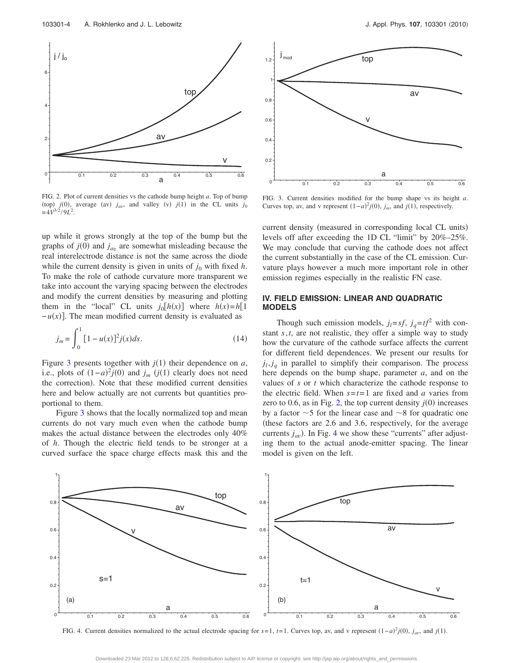<span id="page-4-0"></span>

FIG. 2. Plot of current densities vs the cathode bump height *a*. Top of bump (top)  $j(0)$ , average (av)  $j_{av}$ , and valley (v)  $j(1)$  in the CL units  $j_0$  $= 4V^{3/2}/9L^2$ .

up while it grows strongly at the top of the bump but the graphs of  $j(0)$  and  $j_{av}$  are somewhat misleading because the real interelectrode distance is not the same across the diode while the current density is given in units of  $j_0$  with fixed  $h$ . To make the role of cathode curvature more transparent we take into account the varying spacing between the electrodes and modify the current densities by measuring and plotting them in the "local" CL units  $j_0[h(x)]$  where  $h(x) = h[1]$  $-u(x)$ . The mean modified current density is evaluated as

$$
j_m = \int_0^1 [1 - u(x)]^2 j(x) ds.
$$
 (14)

Figure [3](#page-4-1) presents together with  $j(1)$  their dependence on  $a$ , i.e., plots of  $(1-a)^2 j(0)$  and  $j_m$   $(j(1))$  clearly does not need the correction). Note that these modified current densities here and below actually are not currents but quantities proportional to them.

Figure [3](#page-4-1) shows that the locally normalized top and mean currents do not vary much even when the cathode bump makes the actual distance between the electrodes only 40% of *h*. Though the electric field tends to be stronger at a curved surface the space charge effects mask this and the

<span id="page-4-1"></span>

FIG. 3. Current densities modified for the bump shape vs its height *a*. Curves top, av, and v represent  $(1-a)^2 j(0)$ ,  $j_m$ , and  $j(1)$ , respectively.

current density (measured in corresponding local CL units) levels off after exceeding the 1D CL "limit" by 20%–25%. We may conclude that curving the cathode does not affect the current substantially in the case of the CL emission. Curvature plays however a much more important role in other emission regimes especially in the realistic FN case.

#### **IV. FIELD EMISSION: LINEAR AND QUADRATIC MODELS**

Though such emission models,  $j_l = sf$ ,  $j_q = tf^2$  with constant *s*,*t*, are not realistic, they offer a simple way to study how the curvature of the cathode surface affects the current for different field dependences. We present our results for  $j_l$ ,  $j_q$  in parallel to simplify their comparison. The process here depends on the bump shape, parameter *a*, and on the values of *s* or *t* which characterize the cathode response to the electric field. When  $s = t = 1$  are fixed and *a* varies from zero to 0.6, as in Fig. [2,](#page-4-0) the top current density  $j(0)$  increases by a factor  $\sim$  5 for the linear case and  $\sim$  8 for quadratic one these factors are 2.6 and 3.6, respectively, for the average currents  $j_{av}$ ). In Fig. [4](#page-4-2) we show these "currents" after adjusting them to the actual anode-emitter spacing. The linear model is given on the left.

<span id="page-4-2"></span>

FIG. 4. Current densities normalized to the actual electrode spacing for  $s=1$ ,  $t=1$ . Curves top, av, and v represent  $(1-a)^2 j(0)$ ,  $j_{av}$ , and  $j(1)$ .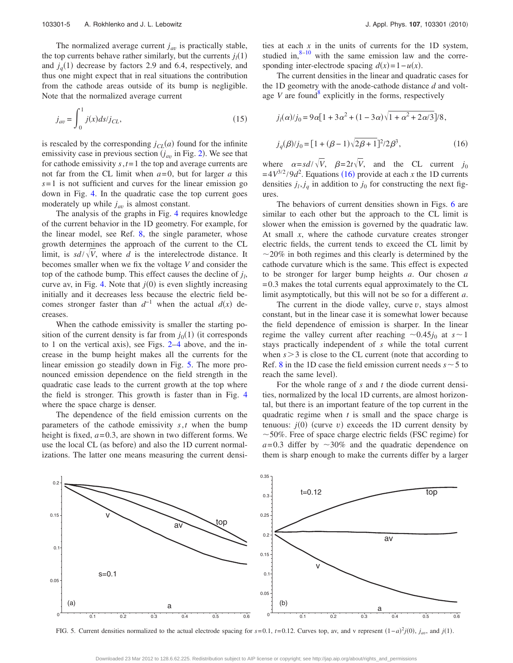The normalized average current  $j_{av}$  is practically stable, the top currents behave rather similarly, but the currents  $j_l(1)$ and  $j_q(1)$  decrease by factors 2.9 and 6.4, respectively, and thus one might expect that in real situations the contribution from the cathode areas outside of its bump is negligible. Note that the normalized average current

$$
j_{av} = \int_{0}^{1} j(x) ds / j_{CL},
$$
\n(15)

is rescaled by the corresponding  $j_{CL}(a)$  found for the infinite emissivity case in previous section  $(j_{av}$  in Fig. [2](#page-4-0)). We see that for cathode emissivity *s*,*t*= 1 the top and average currents are not far from the CL limit when *a*= 0, but for larger *a* this  $s = 1$  is not sufficient and curves for the linear emission go down in Fig. [4.](#page-4-2) In the quadratic case the top current goes moderately up while  $j_{av}$  is almost constant.

The analysis of the graphs in Fig. [4](#page-4-2) requires knowledge of the current behavior in the 1D geometry. For example, for the linear model, see Ref. [8,](#page-9-7) the single parameter, whose growth determines the approach of the current to the CL limit, is  $sd/\sqrt{V}$ , where *d* is the interelectrode distance. It becomes smaller when we fix the voltage *V* and consider the top of the cathode bump. This effect causes the decline of  $j_l$ , curve av, in Fig. [4.](#page-4-2) Note that  $j(0)$  is even slightly increasing initially and it decreases less because the electric field becomes stronger faster than  $d^{-1}$  when the actual  $d(x)$  decreases.

When the cathode emissivity is smaller the starting position of the current density is far from  $j_0(1)$  (it corresponds to 1 on the vertical axis), see Figs.  $2-4$  $2-4$  above, and the increase in the bump height makes all the currents for the linear emission go steadily down in Fig. [5.](#page-5-0) The more pronounced emission dependence on the field strength in the quadratic case leads to the current growth at the top where the field is stronger. This growth is faster than in Fig. [4](#page-4-2) where the space charge is denser.

The dependence of the field emission currents on the parameters of the cathode emissivity *s*,*t* when the bump height is fixed,  $a = 0.3$ , are shown in two different forms. We use the local CL (as before) and also the 1D current normalizations. The latter one means measuring the current densities at each *x* in the units of currents for the 1D system, studied in, $8-10$  with the same emission law and the corresponding inter-electrode spacing  $d(x) = 1 - u(x)$ .

The current densities in the linear and quadratic cases for the 1D geometry with the anode-cathode distance *d* and voltage  $V$  are found<sup>8</sup> explicitly in the forms, respectively

<span id="page-5-1"></span>
$$
j_l(\alpha)/j_0 = 9\alpha[1 + 3\alpha^2 + (1 - 3\alpha)\sqrt{1 + \alpha^2 + 2\alpha/3}]/8,
$$
  

$$
j_q(\beta)/j_0 = [1 + (\beta - 1)\sqrt{2\beta + 1}]^2/2\beta^3,
$$
 (16)

where  $\alpha = sd/\sqrt{V}$ ,  $\beta = 2t\sqrt{V}$ , and the CL current *j*<sub>0</sub>  $= 4V^{3/2}/9d^2$ . Equations ([16](#page-5-1)) provide at each *x* the 1D currents densities  $j_l$ ,  $j_q$  in addition to  $j_0$  for constructing the next figures.

The behaviors of current densities shown in Figs. [6](#page-6-0) are similar to each other but the approach to the CL limit is slower when the emission is governed by the quadratic law. At small *x*, where the cathode curvature creates stronger electric fields, the current tends to exceed the CL limit by  $\sim$  20% in both regimes and this clearly is determined by the cathode curvature which is the same. This effect is expected to be stronger for larger bump heights *a*. Our chosen *a*  $= 0.3$  makes the total currents equal approximately to the CL limit asymptotically, but this will not be so for a different *a*.

The current in the diode valley, curve *v*, stays almost constant, but in the linear case it is somewhat lower because the field dependence of emission is sharper. In the linear regime the valley current after reaching  $\sim 0.45j_0$  at  $s \sim 1$ stays practically independent of *s* while the total current when  $s > 3$  is close to the CL current (note that according to Ref. [8](#page-9-7) in the 1D case the field emission current needs  $s \sim 5$  to reach the same level).

For the whole range of *s* and *t* the diode current densities, normalized by the local 1D currents, are almost horizontal, but there is an important feature of the top current in the quadratic regime when *t* is small and the space charge is tenuous:  $j(0)$  (curve  $v$ ) exceeds the 1D current density by  $\sim$  50%. Free of space charge electric fields (FSC regime) for  $a=0.3$  differ by  $\sim 30\%$  and the quadratic dependence on them is sharp enough to make the currents differ by a larger

<span id="page-5-0"></span>

FIG. 5. Current densities normalized to the actual electrode spacing for  $s = 0.1$ ,  $t = 0.12$ . Curves top, av, and v represent  $(1 - a)^2 j(0)$ ,  $j_{av}$ , and  $j(1)$ .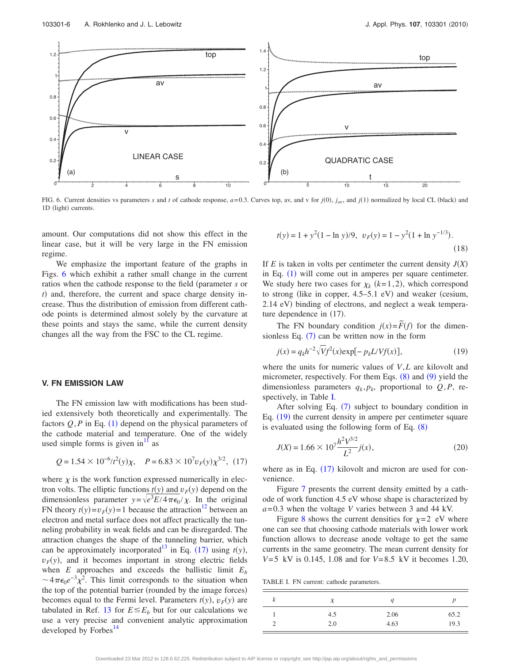<span id="page-6-0"></span>

FIG. 6. Current densities vs parameters *s* and *t* of cathode response,  $a=0.3$ . Curves top, av, and v for  $j(0)$ ,  $j_{av}$ , and  $j(1)$  normalized by local CL (black) and 1D (light) currents.

amount. Our computations did not show this effect in the linear case, but it will be very large in the FN emission regime.

We emphasize the important feature of the graphs in Figs. [6](#page-6-0) which exhibit a rather small change in the current ratios when the cathode response to the field (parameter *s* or *t*) and, therefore, the current and space charge density increase. Thus the distribution of emission from different cathode points is determined almost solely by the curvature at these points and stays the same, while the current density changes all the way from the FSC to the CL regime.

#### **V. FN EMISSION LAW**

The FN emission law with modifications has been studied extensively both theoretically and experimentally. The factors  $Q, P$  in Eq. ([1](#page-1-0)) depend on the physical parameters of the cathode material and temperature. One of the widely used simple forms is given in<sup>[11](#page-9-9)</sup> as

<span id="page-6-1"></span>
$$
Q = 1.54 \times 10^{-6} / t^2(y) \chi, \quad P = 6.83 \times 10^7 v_F(y) \chi^{3/2}, \tag{17}
$$

where  $\chi$  is the work function expressed numerically in electron volts. The elliptic functions  $t(y)$  and  $v_F(y)$  depend on the dimensionless parameter  $y = \sqrt{e^3 E/4 \pi \epsilon_0 / \chi}$ . In the original FN theory  $t(y)=v_F(y)=1$  because the attraction<sup>12</sup> between an electron and metal surface does not affect practically the tunneling probability in weak fields and can be disregarded. The attraction changes the shape of the tunneling barrier, which can be approximately incorporated<sup>13</sup> in Eq. ([17](#page-6-1)) using  $t(y)$ ,  $v_F(y)$ , and it becomes important in strong electric fields when  $E$  approaches and exceeds the ballistic limit  $E<sub>b</sub>$  $\sim 4\pi\epsilon_0 e^{-3} \chi^2$ . This limit corresponds to the situation when the top of the potential barrier (rounded by the image forces) becomes equal to the Fermi level. Parameters  $t(y)$ ,  $v_F(y)$  are tabulated in Ref. [13](#page-9-11) for  $E \leq E_b$  but for our calculations we use a very precise and convenient analytic approximation developed by Forbes<sup>14</sup>

$$
t(y) = 1 + y2(1 - \ln y)/9, \ v_F(y) = 1 - y2(1 + \ln y-1/3).
$$
\n(18)

If  $E$  is taken in volts per centimeter the current density  $J(X)$ in Eq.  $(1)$  $(1)$  $(1)$  will come out in amperes per square centimeter. We study here two cases for  $\chi_k$  ( $k=1,2$ ), which correspond to strong (like in copper, 4.5–5.1 eV) and weaker (cesium, 2.14 eV) binding of electrons, and neglect a weak temperature dependence in  $(17)$ .

The FN boundary condition  $j(x) = \tilde{F}(f)$  for the dimensionless Eq.  $(7)$  $(7)$  $(7)$  can be written now in the form

<span id="page-6-3"></span>
$$
j(x) = q_k h^{-2} \sqrt{V} f^2(x) \exp[-p_k L/V f(x)],
$$
\n(19)

where the units for numeric values of *V*,*L* are kilovolt and micrometer, respectively. For them Eqs.  $(8)$  $(8)$  $(8)$  and  $(9)$  $(9)$  $(9)$  yield the dimensionless parameters  $q_k, p_k$ , proportional to  $Q, P$ , respectively, in Table [I.](#page-6-2)

After solving Eq.  $(7)$  $(7)$  $(7)$  subject to boundary condition in Eq. ([19](#page-6-3)) the current density in ampere per centimeter square is evaluated using the following form of Eq.  $(8)$  $(8)$  $(8)$ 

<span id="page-6-4"></span>
$$
J(X) = 1.66 \times 10^7 \frac{h^2 V^{3/2}}{L^2} j(x),\tag{20}
$$

where as in Eq.  $(17)$  $(17)$  $(17)$  kilovolt and micron are used for convenience.

Figure [7](#page-7-0) presents the current density emitted by a cathode of work function 4.5 eV whose shape is characterized by *a*= 0.3 when the voltage *V* varies between 3 and 44 kV.

Figure [8](#page-7-1) shows the current densities for  $\chi = 2$  eV where one can see that choosing cathode materials with lower work function allows to decrease anode voltage to get the same currents in the same geometry. The mean current density for *V*= 5 kV is 0.145, 1.08 and for *V*= 8.5 kV it becomes 1.20,

<span id="page-6-2"></span>TABLE I. FN current: cathode parameters.

| κ |     | u    |      |
|---|-----|------|------|
|   | 4.5 | 2.06 | 65.2 |
|   | 2.0 | 4.63 | 19.3 |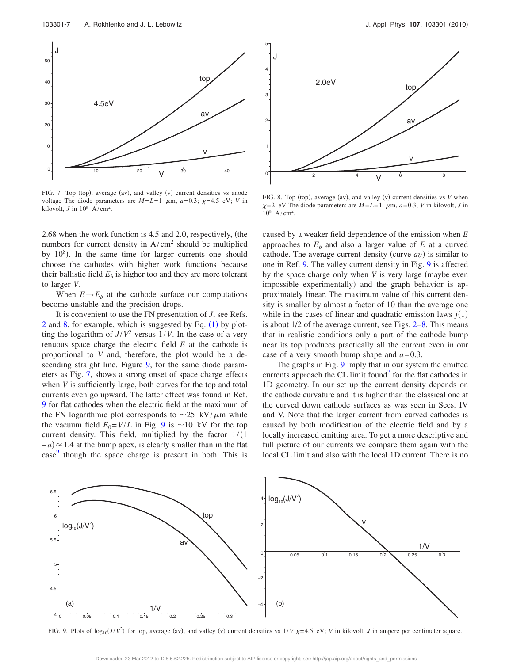<span id="page-7-0"></span>

FIG. 7. Top (top), average (av), and valley (v) current densities vs anode voltage The diode parameters are  $M=L=1$   $\mu$ m,  $a=0.3$ ;  $\chi=4.5$  eV; *V* in kilovolt, *J* in  $10^8$  A/cm<sup>2</sup>.

2.68 when the work function is 4.5 and 2.0, respectively, the numbers for current density in  $A/cm<sup>2</sup>$  should be multiplied by  $10^8$ ). In the same time for larger currents one should choose the cathodes with higher work functions because their ballistic field  $E<sub>b</sub>$  is higher too and they are more tolerant to larger *V*.

When  $E \rightarrow E_b$  at the cathode surface our computations become unstable and the precision drops.

It is convenient to use the FN presentation of *J*, see Refs. [2](#page-9-1) and [8,](#page-9-7) for example, which is suggested by Eq.  $(1)$  $(1)$  $(1)$  by plotting the logarithm of  $J/V^2$  versus  $1/V$ . In the case of a very tenuous space charge the electric field *E* at the cathode is proportional to *V* and, therefore, the plot would be a de-scending straight line. Figure [9,](#page-7-2) for the same diode parameters as Fig. [7,](#page-7-0) shows a strong onset of space charge effects when *V* is sufficiently large, both curves for the top and total currents even go upward. The latter effect was found in Ref. [9](#page-9-13) for flat cathodes when the electric field at the maximum of the FN logarithmic plot corresponds to  $\sim$ 25 kV/ $\mu$ m while the vacuum field  $E_0 = V/L$  in Fig. [9](#page-7-2) is  $\sim 10$  kV for the top current density. This field, multiplied by the factor  $1/(1$  $(a - a) \approx 1.4$  at the bump apex, is clearly smaller than in the flat case<sup>[9](#page-9-13)</sup> though the space charge is present in both. This is

<span id="page-7-1"></span>

FIG. 8. Top (top), average (av), and valley (v) current densities vs *V* when  $\chi$ =2 eV The diode parameters are  $M = L = 1$   $\mu$ m,  $a = 0.3$ ; *V* in kilovolt, *J* in  $10^8$  A/cm<sup>2</sup>.

caused by a weaker field dependence of the emission when *E* approaches to  $E<sub>b</sub>$  and also a larger value of  $E<sub>b</sub>$  at a curved cathode. The average current density (curve av) is similar to one in Ref. [9.](#page-9-13) The valley current density in Fig. [9](#page-7-2) is affected by the space charge only when *V* is very large (maybe even impossible experimentally) and the graph behavior is approximately linear. The maximum value of this current density is smaller by almost a factor of 10 than the average one while in the cases of linear and quadratic emission laws  $j(1)$ is about 1/2 of the average current, see Figs. [2–](#page-4-0)[8.](#page-7-1) This means that in realistic conditions only a part of the cathode bump near its top produces practically all the current even in our case of a very smooth bump shape and  $a = 0.3$ .

The graphs in Fig. [9](#page-7-2) imply that in our system the emitted currents approach the CL limit found<sup>7</sup> for the flat cathodes in 1D geometry. In our set up the current density depends on the cathode curvature and it is higher than the classical one at the curved down cathode surfaces as was seen in Secs. IV and V. Note that the larger current from curved cathodes is caused by both modification of the electric field and by a locally increased emitting area. To get a more descriptive and full picture of our currents we compare them again with the local CL limit and also with the local 1D current. There is no

<span id="page-7-2"></span>

FIG. 9. Plots of  $\log_{10}(J/V^2)$  for top, average (av), and valley (v) current densities vs  $1/V \chi = 4.5$  eV; *V* in kilovolt, *J* in ampere per centimeter square.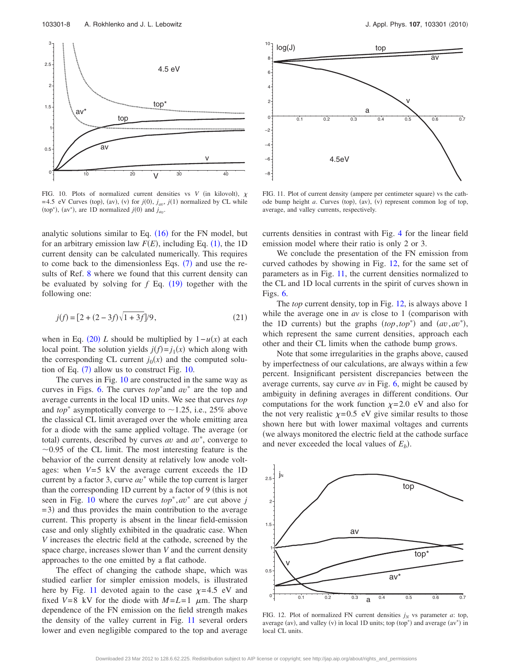<span id="page-8-0"></span>

FIG. 10. Plots of normalized current densities vs  $V$  (in kilovolt),  $\chi$  $= 4.5$  eV Curves (top), (av), (v) for  $j(0)$ ,  $j_{av}$ ,  $j(1)$  normalized by CL while (top<sup>\*</sup>), (av<sup>\*</sup>), are 1D normalized  $j(0)$  and  $j_{av}$ .

analytic solutions similar to Eq.  $(16)$  $(16)$  $(16)$  for the FN model, but for an arbitrary emission law  $F(E)$ , including Eq. ([1](#page-1-0)), the 1D current density can be calculated numerically. This requires to come back to the dimensionless Eqs.  $(7)$  $(7)$  $(7)$  and use the re-sults of Ref. [8](#page-9-7) where we found that this current density can be evaluated by solving for  $f$  Eq.  $(19)$  $(19)$  $(19)$  together with the following one:

$$
j(f) = [2 + (2 - 3f)\sqrt{1 + 3f}]/9,
$$
\n(21)

when in Eq. ([20](#page-6-4)) *L* should be multiplied by  $1 - u(x)$  at each local point. The solution yields  $j(f) = j_1(x)$  which along with the corresponding CL current  $j_0(x)$  and the computed solution of Eq.  $(7)$  $(7)$  $(7)$  allow us to construct Fig. [10.](#page-8-0)

The curves in Fig. [10](#page-8-0) are constructed in the same way as curves in Figs. [6.](#page-6-0) The curves  $top^*$  and  $av^*$  are the top and average currents in the local 1D units. We see that curves *top* and *top*<sup>\*</sup> asymptotically converge to  $\sim$  1.25, i.e., 25% above the classical CL limit averaged over the whole emitting area for a diode with the same applied voltage. The average (or total) currents, described by curves *av* and  $av^*$ , converge to  $\sim$ 0.95 of the CL limit. The most interesting feature is the behavior of the current density at relatively low anode voltages: when  $V=5$  kV the average current exceeds the 1D current by a factor 3, curve  $av^*$  while the top current is larger than the corresponding 1D current by a factor of 9 (this is not seen in Fig. [10](#page-8-0) where the curves  $top^*$ ,  $av^*$  are cut above *j* = 3) and thus provides the main contribution to the average current. This property is absent in the linear field-emission case and only slightly exhibited in the quadratic case. When *V* increases the electric field at the cathode, screened by the space charge, increases slower than *V* and the current density approaches to the one emitted by a flat cathode.

The effect of changing the cathode shape, which was studied earlier for simpler emission models, is illustrated here by Fig. [11](#page-8-1) devoted again to the case  $\chi$ =4.5 eV and fixed  $V=8$  kV for the diode with  $M=L=1$   $\mu$ m. The sharp dependence of the FN emission on the field strength makes the density of the valley current in Fig. [11](#page-8-1) several orders lower and even negligible compared to the top and average

<span id="page-8-1"></span>

FIG. 11. Plot of current density (ampere per centimeter square) vs the cathode bump height *a*. Curves (top), (av), (v) represent common log of top, average, and valley currents, respectively.

currents densities in contrast with Fig. [4](#page-4-2) for the linear field emission model where their ratio is only 2 or 3.

We conclude the presentation of the FN emission from curved cathodes by showing in Fig. [12,](#page-8-2) for the same set of parameters as in Fig. [11,](#page-8-1) the current densities normalized to the CL and 1D local currents in the spirit of curves shown in Figs. [6.](#page-6-0)

The *top* current density, top in Fig. [12,](#page-8-2) is always above 1 while the average one in  $av$  is close to 1 (comparison with the 1D currents) but the graphs  $(top, top^*)$  and  $(av, av^*)$ , which represent the same current densities, approach each other and their CL limits when the cathode bump grows.

Note that some irregularities in the graphs above, caused by imperfectness of our calculations, are always within a few percent. Insignificant persistent discrepancies between the average currents, say curve *av* in Fig. [6,](#page-6-0) might be caused by ambiguity in defining averages in different conditions. Our computations for the work function  $\chi$ =2.0 eV and also for the not very realistic  $\chi = 0.5$  eV give similar results to those shown here but with lower maximal voltages and currents we always monitored the electric field at the cathode surface and never exceeded the local values of  $E_b$ ).

<span id="page-8-2"></span>

FIG. 12. Plot of normalized FN current densities  $j_N$  vs parameter  $a$ : top, average (av), and valley (v) in local 1D units; top (top\*) and average (av\*) in local CL units.